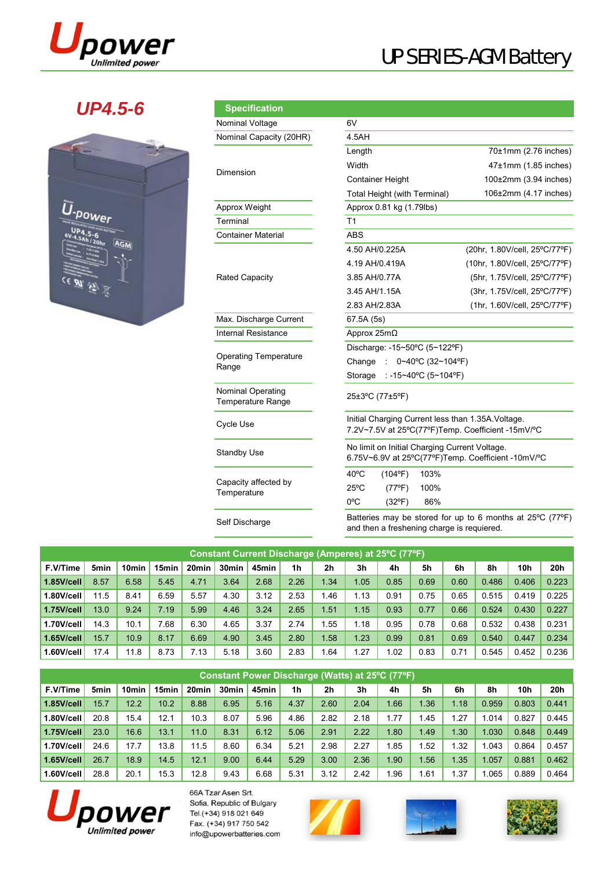

# UP SERIES-AGM Battery

### *UP4.5-6*

|   | AGM      |         |  |
|---|----------|---------|--|
| 2 |          |         |  |
|   | CE PU FI | U-power |  |

| <b>Specification</b>                                 |                                                                                                         |                               |  |  |  |  |  |  |  |
|------------------------------------------------------|---------------------------------------------------------------------------------------------------------|-------------------------------|--|--|--|--|--|--|--|
| Nominal Voltage                                      | 6V                                                                                                      |                               |  |  |  |  |  |  |  |
| Nominal Capacity (20HR)                              | 4.5AH                                                                                                   |                               |  |  |  |  |  |  |  |
|                                                      | Length                                                                                                  | 70±1mm (2.76 inches)          |  |  |  |  |  |  |  |
| Dimension                                            | Width                                                                                                   | $47\pm1$ mm (1.85 inches)     |  |  |  |  |  |  |  |
|                                                      | <b>Container Height</b>                                                                                 | $100\pm2$ mm (3.94 inches)    |  |  |  |  |  |  |  |
|                                                      | Total Height (with Terminal)                                                                            | 106±2mm (4.17 inches)         |  |  |  |  |  |  |  |
| Approx Weight                                        | Approx 0.81 kg (1.79lbs)                                                                                |                               |  |  |  |  |  |  |  |
| Terminal                                             | T1                                                                                                      |                               |  |  |  |  |  |  |  |
| <b>Container Material</b>                            | <b>ABS</b>                                                                                              |                               |  |  |  |  |  |  |  |
|                                                      | 4.50 AH/0.225A                                                                                          | (20hr, 1.80V/cell, 25°C/77°F) |  |  |  |  |  |  |  |
|                                                      | 4.19 AH/0.419A                                                                                          | (10hr, 1.80V/cell, 25°C/77°F) |  |  |  |  |  |  |  |
| <b>Rated Capacity</b>                                | 3.85 AH/0.77A                                                                                           | (5hr, 1.75V/cell, 25°C/77°F)  |  |  |  |  |  |  |  |
|                                                      | 3.45 AH/1.15A                                                                                           | (3hr, 1.75V/cell, 25°C/77°F)  |  |  |  |  |  |  |  |
|                                                      | 2.83 AH/2.83A                                                                                           | (1hr, 1.60V/cell, 25°C/77°F)  |  |  |  |  |  |  |  |
| Max. Discharge Current                               | 67.5A (5s)                                                                                              |                               |  |  |  |  |  |  |  |
| <b>Internal Resistance</b>                           | Approx $25mΩ$                                                                                           |                               |  |  |  |  |  |  |  |
|                                                      | Discharge: -15~50°C (5~122°F)                                                                           |                               |  |  |  |  |  |  |  |
| <b>Operating Temperature</b><br>Range                | Change<br>0~40°C (32~104°F)<br>÷                                                                        |                               |  |  |  |  |  |  |  |
|                                                      | Storage : -15~40°C (5~104°F)                                                                            |                               |  |  |  |  |  |  |  |
| <b>Nominal Operating</b><br><b>Temperature Range</b> | 25±3°C (77±5°F)                                                                                         |                               |  |  |  |  |  |  |  |
| Cycle Use                                            | Initial Charging Current less than 1.35A. Voltage.<br>7.2V~7.5V at 25°C(77°F)Temp. Coefficient -15mV/°C |                               |  |  |  |  |  |  |  |
| <b>Standby Use</b>                                   | No limit on Initial Charging Current Voltage.<br>6.75V~6.9V at 25°C(77°F)Temp. Coefficient -10mV/°C     |                               |  |  |  |  |  |  |  |
|                                                      | $40^{\circ}$ C<br>$(104^{\circ}F)$<br>103%                                                              |                               |  |  |  |  |  |  |  |
| Capacity affected by<br>Temperature                  | $25^{\circ}$ C<br>$(77^{\circ}F)$<br>100%                                                               |                               |  |  |  |  |  |  |  |
|                                                      | $0^{\circ}$ C<br>$(32^{\circ}F)$<br>86%                                                                 |                               |  |  |  |  |  |  |  |

Batteries may be stored for up to 6 months at 25ºC (77ºF) Self Discharge **Example 19 Statemes** may be stored for up to 6 mon<br>and then a freshening charge is requiered.

| Constant Current Discharge (Amperes) at 25°C (77°F). |      |                   |       |                   |                   |       |      |                |                |      |      |      |       |            |       |
|------------------------------------------------------|------|-------------------|-------|-------------------|-------------------|-------|------|----------------|----------------|------|------|------|-------|------------|-------|
| F.V/Time                                             | 5min | 10 <sub>min</sub> | 15min | 20 <sub>min</sub> | 30 <sub>min</sub> | 45min | 1h   | 2 <sub>h</sub> | 3 <sub>h</sub> | 4h   | 5h   | 6h   | 8h    | <b>10h</b> | 20h   |
| $1.85$ V/cell                                        | 8.57 | 6.58              | 5.45  | 4.71              | 3.64              | 2.68  | 2.26 | 1.34           | 1.05           | 0.85 | 0.69 | 0.60 | 0.486 | 0.406      | 0.223 |
| 1.80V/cell                                           | 11.5 | 8.41              | 6.59  | 5.57              | 4.30              | 3.12  | 2.53 | 1.46           | 1.13           | 0.91 | 0.75 | 0.65 | 0.515 | 0.419      | 0.225 |
| 1.75V/cell                                           | 13.0 | 9.24              | 7.19  | 5.99              | 4.46              | 3.24  | 2.65 | 1.51           | 1.15           | 0.93 | 0.77 | 0.66 | 0.524 | 0.430      | 0.227 |
| 1.70V/cell                                           | 14.3 | 10.1              | 7.68  | 6.30              | 4.65              | 3.37  | 2.74 | . 55           | 1.18           | 0.95 | 0.78 | 0.68 | 0.532 | 0.438      | 0.231 |
| $1.65$ V/cell                                        | 15.7 | 10.9              | 8.17  | 6.69              | 4.90              | 3.45  | 2.80 | .58'           | 1.23           | 0.99 | 0.81 | 0.69 | 0.540 | 0.447      | 0.234 |
| 1.60V/cell                                           | 17.4 | 11.8              | 8.73  | 7.13              | 5.18              | 3.60  | 2.83 | . 64           | .27            | 1.02 | 0.83 | 0.71 | 0.545 | 0.452      | 0.236 |

| Constant Power Discharge (Watts) at 25°C (77°F) |                  |                   |         |       |                   |       |      |      |                |                  |       |      |       |                 |       |
|-------------------------------------------------|------------------|-------------------|---------|-------|-------------------|-------|------|------|----------------|------------------|-------|------|-------|-----------------|-------|
| F.V/Time                                        | 5 <sub>min</sub> | 10 <sub>min</sub> | 15min l | 20min | 30 <sub>min</sub> | 45min | 1h   | 2h   | 3 <sub>h</sub> | 4h               | 5h    | 6h   | 8h    | 10 <sub>h</sub> | 20h   |
| $1.85$ V/cell                                   | 15.7             | 12.2              | 10.2    | 8.88  | 6.95              | 5.16  | 4.37 | 2.60 | 2.04           | .66              | 1.36  | 1.18 | 0.959 | 0.803           | 0.441 |
| 1.80V/cell                                      | 20.8             | 15.4              | 12.1    | 10.3  | 8.07              | 5.96  | 4.86 | 2.82 | 2.18           | 1.77             | 1.45  | 1.27 | 1.014 | 0.827           | 0.445 |
| 1.75V/cell                                      | 23.0             | 16.6              | 13.1    | 11.0  | 8.31              | 6.12  | 5.06 | 2.91 | 2.22           | .80 <sub>1</sub> | 1.49  | 1.30 | 1.030 | 0.848           | 0.449 |
| 1.70V/cell                                      | 24.6             | 17.7              | 13.8    | 11.5  | 8.60              | 6.34  | 5.21 | 2.98 | 2.27           | .85              | .52   | 1.32 | .043  | 0.864           | 0.457 |
| $1.65$ V/cell                                   | 26.7             | 18.9              | 14.5    | 12.1  | 9.00              | 6.44  | 5.29 | 3.00 | 2.36           | .90 <sub>1</sub> | 1.56  | 1.35 | 1.057 | 0.881           | 0.462 |
| 1.60V/cell                                      | 28.8             | 20.1              | 15.3    | 12.8  | 9.43              | 6.68  | 5.31 | 3.12 | 2.42           | l.96             | .61.، | 1.37 | .065  | 0.889           | 0.464 |



66A Tzar Asen Srt. Sofia, Republic of Bulgary Tel.(+34) 918 021 649 Fax. (+34) 917 750 542 info@upowerbatteries.com